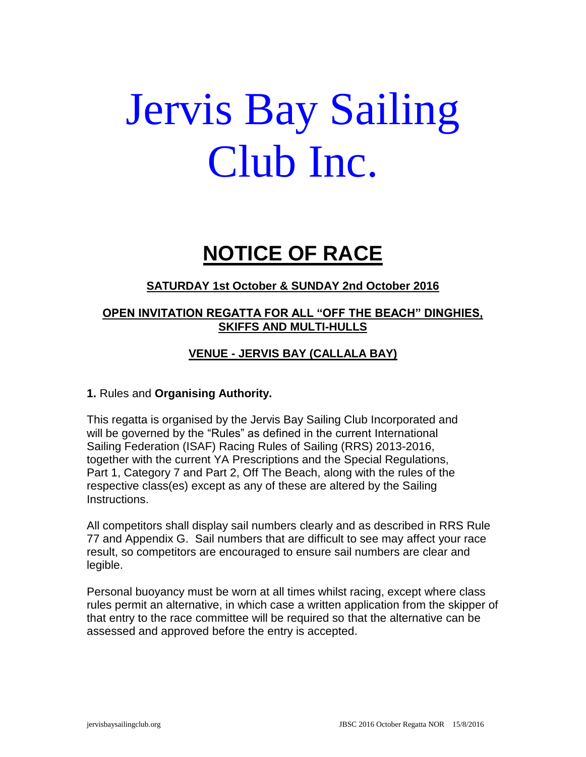# Jervis Bay Sailing Club Inc.

## **NOTICE OF RACE**

#### **SATURDAY 1st October & SUNDAY 2nd October 2016**

#### **OPEN INVITATION REGATTA FOR ALL "OFF THE BEACH" DINGHIES, SKIFFS AND MULTI-HULLS**

### **VENUE - JERVIS BAY (CALLALA BAY)**

#### **1.** Rules and **Organising Authority.**

This regatta is organised by the Jervis Bay Sailing Club Incorporated and will be governed by the "Rules" as defined in the current International Sailing Federation (ISAF) Racing Rules of Sailing (RRS) 2013-2016, together with the current YA Prescriptions and the Special Regulations, Part 1, Category 7 and Part 2, Off The Beach, along with the rules of the respective class(es) except as any of these are altered by the Sailing Instructions.

All competitors shall display sail numbers clearly and as described in RRS Rule 77 and Appendix G. Sail numbers that are difficult to see may affect your race result, so competitors are encouraged to ensure sail numbers are clear and legible.

Personal buoyancy must be worn at all times whilst racing, except where class rules permit an alternative, in which case a written application from the skipper of that entry to the race committee will be required so that the alternative can be assessed and approved before the entry is accepted.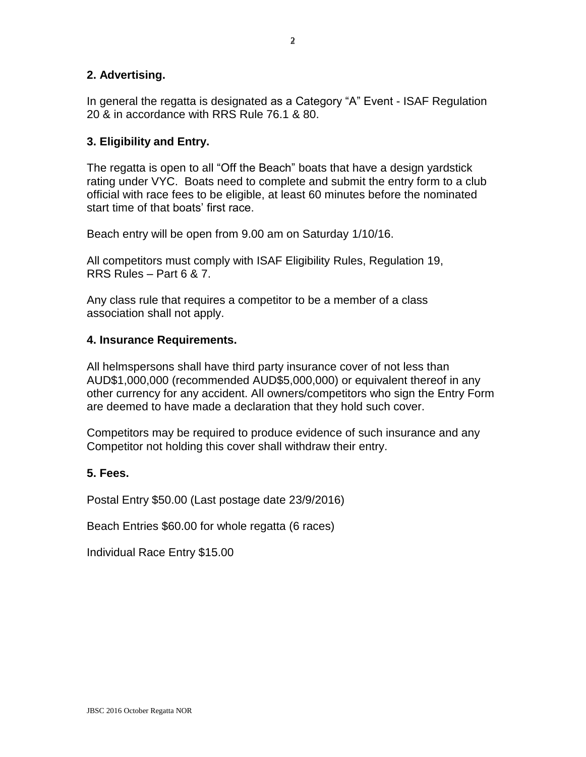#### **2. Advertising.**

In general the regatta is designated as a Category "A" Event - ISAF Regulation 20 & in accordance with RRS Rule 76.1 & 80.

#### **3. Eligibility and Entry.**

The regatta is open to all "Off the Beach" boats that have a design yardstick rating under VYC. Boats need to complete and submit the entry form to a club official with race fees to be eligible, at least 60 minutes before the nominated start time of that boats' first race.

Beach entry will be open from 9.00 am on Saturday 1/10/16.

All competitors must comply with ISAF Eligibility Rules, Regulation 19, RRS Rules – Part 6 & 7.

Any class rule that requires a competitor to be a member of a class association shall not apply.

#### **4. Insurance Requirements.**

All helmspersons shall have third party insurance cover of not less than AUD\$1,000,000 (recommended AUD\$5,000,000) or equivalent thereof in any other currency for any accident. All owners/competitors who sign the Entry Form are deemed to have made a declaration that they hold such cover.

Competitors may be required to produce evidence of such insurance and any Competitor not holding this cover shall withdraw their entry.

#### **5. Fees.**

Postal Entry \$50.00 (Last postage date 23/9/2016)

Beach Entries \$60.00 for whole regatta (6 races)

Individual Race Entry \$15.00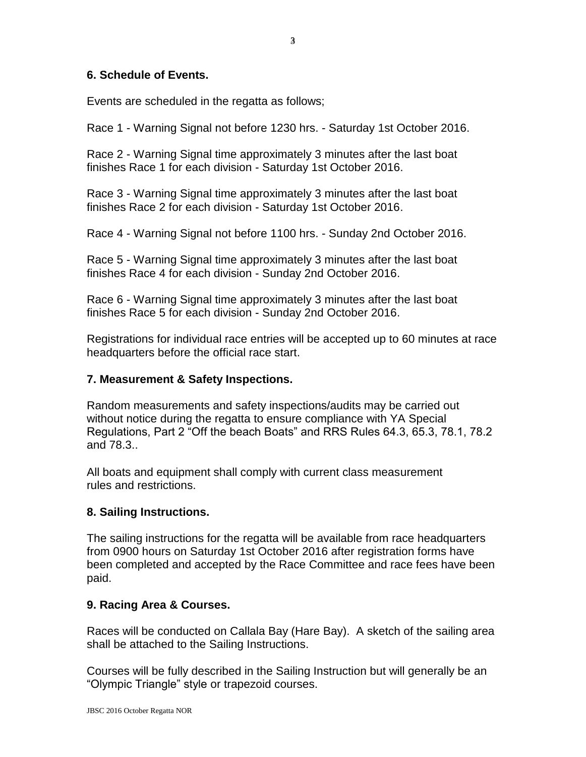#### **6. Schedule of Events.**

Events are scheduled in the regatta as follows;

Race 1 - Warning Signal not before 1230 hrs. - Saturday 1st October 2016.

Race 2 - Warning Signal time approximately 3 minutes after the last boat finishes Race 1 for each division - Saturday 1st October 2016.

Race 3 - Warning Signal time approximately 3 minutes after the last boat finishes Race 2 for each division - Saturday 1st October 2016.

Race 4 - Warning Signal not before 1100 hrs. - Sunday 2nd October 2016.

Race 5 - Warning Signal time approximately 3 minutes after the last boat finishes Race 4 for each division - Sunday 2nd October 2016.

Race 6 - Warning Signal time approximately 3 minutes after the last boat finishes Race 5 for each division - Sunday 2nd October 2016.

Registrations for individual race entries will be accepted up to 60 minutes at race headquarters before the official race start.

#### **7. Measurement & Safety Inspections.**

Random measurements and safety inspections/audits may be carried out without notice during the regatta to ensure compliance with YA Special Regulations, Part 2 "Off the beach Boats" and RRS Rules 64.3, 65.3, 78.1, 78.2 and 78.3..

All boats and equipment shall comply with current class measurement rules and restrictions.

#### **8. Sailing Instructions.**

The sailing instructions for the regatta will be available from race headquarters from 0900 hours on Saturday 1st October 2016 after registration forms have been completed and accepted by the Race Committee and race fees have been paid.

#### **9. Racing Area & Courses.**

Races will be conducted on Callala Bay (Hare Bay). A sketch of the sailing area shall be attached to the Sailing Instructions.

Courses will be fully described in the Sailing Instruction but will generally be an "Olympic Triangle" style or trapezoid courses.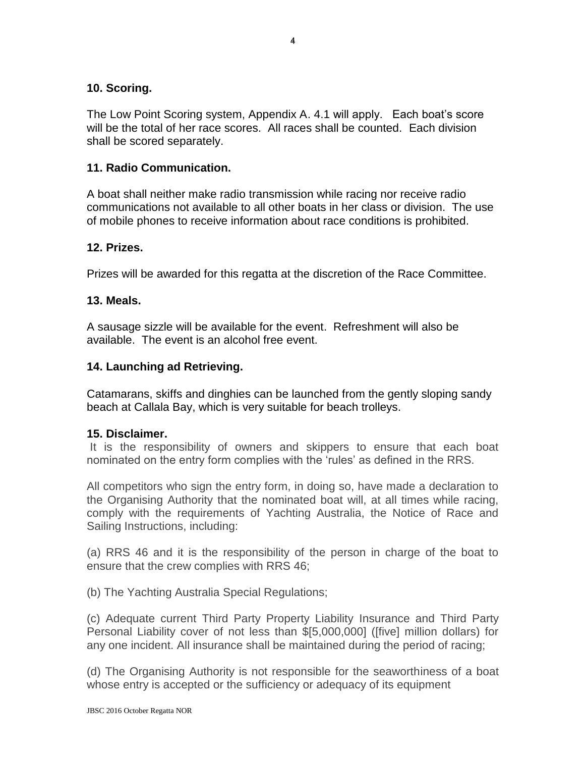#### **10. Scoring.**

The Low Point Scoring system, Appendix A. 4.1 will apply. Each boat's score will be the total of her race scores. All races shall be counted. Each division shall be scored separately.

#### **11. Radio Communication.**

A boat shall neither make radio transmission while racing nor receive radio communications not available to all other boats in her class or division. The use of mobile phones to receive information about race conditions is prohibited.

#### **12. Prizes.**

Prizes will be awarded for this regatta at the discretion of the Race Committee.

#### **13. Meals.**

A sausage sizzle will be available for the event. Refreshment will also be available. The event is an alcohol free event.

#### **14. Launching ad Retrieving.**

Catamarans, skiffs and dinghies can be launched from the gently sloping sandy beach at Callala Bay, which is very suitable for beach trolleys.

#### **15. Disclaimer.**

It is the responsibility of owners and skippers to ensure that each boat nominated on the entry form complies with the 'rules' as defined in the RRS.

All competitors who sign the entry form, in doing so, have made a declaration to the Organising Authority that the nominated boat will, at all times while racing, comply with the requirements of Yachting Australia, the Notice of Race and Sailing Instructions, including:

(a) RRS 46 and it is the responsibility of the person in charge of the boat to ensure that the crew complies with RRS 46;

(b) The Yachting Australia Special Regulations;

(c) Adequate current Third Party Property Liability Insurance and Third Party Personal Liability cover of not less than \$[5,000,000] ([five] million dollars) for any one incident. All insurance shall be maintained during the period of racing;

(d) The Organising Authority is not responsible for the seaworthiness of a boat whose entry is accepted or the sufficiency or adequacy of its equipment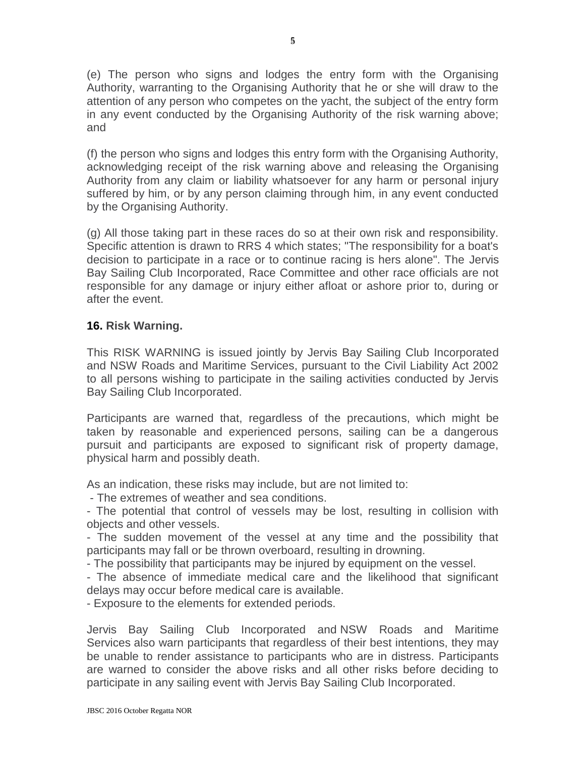(e) The person who signs and lodges the entry form with the Organising Authority, warranting to the Organising Authority that he or she will draw to the attention of any person who competes on the yacht, the subject of the entry form in any event conducted by the Organising Authority of the risk warning above; and

(f) the person who signs and lodges this entry form with the Organising Authority, acknowledging receipt of the risk warning above and releasing the Organising Authority from any claim or liability whatsoever for any harm or personal injury suffered by him, or by any person claiming through him, in any event conducted by the Organising Authority.

(g) All those taking part in these races do so at their own risk and responsibility. Specific attention is drawn to RRS 4 which states; "The responsibility for a boat's decision to participate in a race or to continue racing is hers alone". The Jervis Bay Sailing Club Incorporated, Race Committee and other race officials are not responsible for any damage or injury either afloat or ashore prior to, during or after the event.

#### **16. Risk Warning.**

This RISK WARNING is issued jointly by Jervis Bay Sailing Club Incorporated and NSW Roads and Maritime Services, pursuant to the Civil Liability Act 2002 to all persons wishing to participate in the sailing activities conducted by Jervis Bay Sailing Club Incorporated.

Participants are warned that, regardless of the precautions, which might be taken by reasonable and experienced persons, sailing can be a dangerous pursuit and participants are exposed to significant risk of property damage, physical harm and possibly death.

As an indication, these risks may include, but are not limited to:

- The extremes of weather and sea conditions.

- The potential that control of vessels may be lost, resulting in collision with objects and other vessels.

- The sudden movement of the vessel at any time and the possibility that participants may fall or be thrown overboard, resulting in drowning.

- The possibility that participants may be injured by equipment on the vessel.

- The absence of immediate medical care and the likelihood that significant delays may occur before medical care is available.

- Exposure to the elements for extended periods.

Jervis Bay Sailing Club Incorporated and NSW Roads and Maritime Services also warn participants that regardless of their best intentions, they may be unable to render assistance to participants who are in distress. Participants are warned to consider the above risks and all other risks before deciding to participate in any sailing event with Jervis Bay Sailing Club Incorporated.